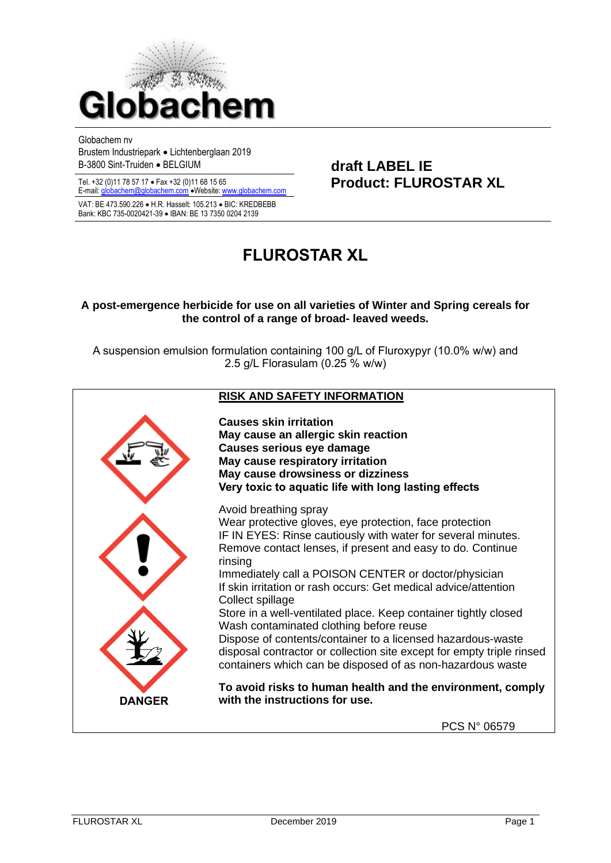

Globachem nv

Brustem Industriepark • Lichtenberglaan 2019 B-3800 Sint-Truiden • BELGIUM **draft LABEL IE**

VAT: BE 473.590.226 • H.R. Hasselt: 105.213 • BIC: KREDBEBB Bank: KBC 735-0020421-39 • IBAN: BE 13 7350 0204 2139

# Tel. +32 (0)11 78 57 17 • Fax +32 (0)11 68 15 65 **Product: FLUROSTAR XL** E-mail[: globachem@globachem.com](mailto:globachem@globachem.com) •Website[: www.globachem.com](mailto:globachem@globachem.com)

## **FLUROSTAR XL**

#### **A post-emergence herbicide for use on all varieties of Winter and Spring cereals for the control of a range of broad- leaved weeds.**

A suspension emulsion formulation containing 100 g/L of Fluroxypyr (10.0% w/w) and 2.5 g/L Florasulam (0.25 % w/w)

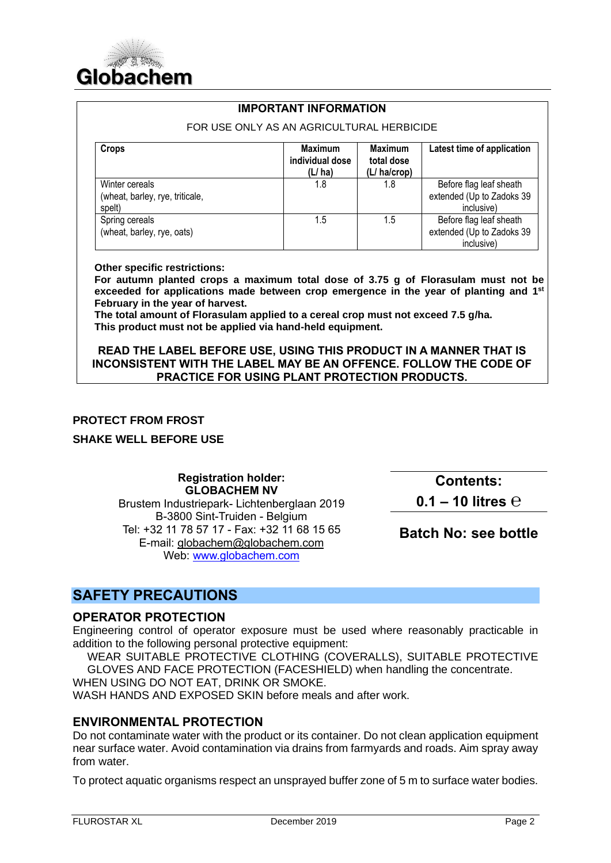

#### **IMPORTANT INFORMATION**

FOR USE ONLY AS AN AGRICULTURAL HERBICIDE **Crops Maximum Maximum individual dose (L/ ha) Maximum total dose (L/ ha/crop) Latest time of application** Winter cereals (wheat, barley, rye, triticale, spelt) 1.8 1.8 Before flag leaf sheath extended (Up to Zadoks 39 inclusive) Spring cereals (wheat, barley, rye, oats) 1.5 1.5 Before flag leaf sheath extended (Up to Zadoks 39 inclusive)

**Other specific restrictions:** 

**For autumn planted crops a maximum total dose of 3.75 g of Florasulam must not be exceeded for applications made between crop emergence in the year of planting and 1 st February in the year of harvest.** 

**The total amount of Florasulam applied to a cereal crop must not exceed 7.5 g/ha. This product must not be applied via hand-held equipment.**

**READ THE LABEL BEFORE USE, USING THIS PRODUCT IN A MANNER THAT IS INCONSISTENT WITH THE LABEL MAY BE AN OFFENCE. FOLLOW THE CODE OF PRACTICE FOR USING PLANT PROTECTION PRODUCTS.**

#### **PROTECT FROM FROST**

**SHAKE WELL BEFORE USE**

**Registration holder: GLOBACHEM NV** Brustem Industriepark- Lichtenberglaan 2019 B-3800 Sint-Truiden - Belgium Tel: +32 11 78 57 17 - Fax: +32 11 68 15 65 E-mail: [globachem@globachem.com](mailto:globachem@globachem.com) Web: [www.globachem.com](http://www.globachem.com/)

**Contents: 0.1 – 10 litres ℮**

**Batch No: see bottle**

## **SAFETY PRECAUTIONS**

#### **OPERATOR PROTECTION**

Engineering control of operator exposure must be used where reasonably practicable in addition to the following personal protective equipment:

WEAR SUITABLE PROTECTIVE CLOTHING (COVERALLS), SUITABLE PROTECTIVE GLOVES AND FACE PROTECTION (FACESHIELD) when handling the concentrate.

WHEN USING DO NOT EAT, DRINK OR SMOKE.

WASH HANDS AND EXPOSED SKIN before meals and after work.

#### **ENVIRONMENTAL PROTECTION**

Do not contaminate water with the product or its container. Do not clean application equipment near surface water. Avoid contamination via drains from farmyards and roads. Aim spray away from water.

To protect aquatic organisms respect an unsprayed buffer zone of 5 m to surface water bodies.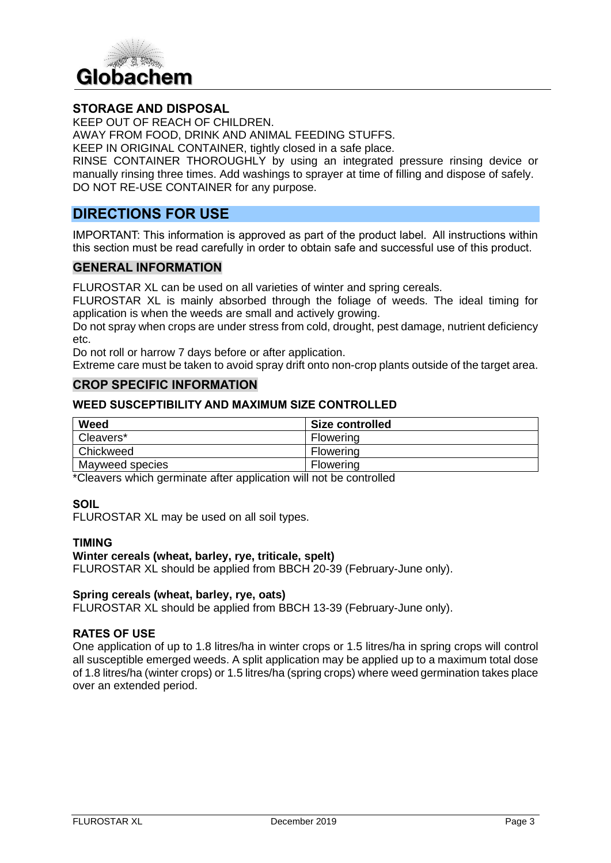

### **STORAGE AND DISPOSAL**

KEEP OUT OF REACH OF CHILDREN.

AWAY FROM FOOD, DRINK AND ANIMAL FEEDING STUFFS.

KEEP IN ORIGINAL CONTAINER, tightly closed in a safe place.

RINSE CONTAINER THOROUGHLY by using an integrated pressure rinsing device or manually rinsing three times. Add washings to sprayer at time of filling and dispose of safely. DO NOT RE-USE CONTAINER for any purpose.

## **DIRECTIONS FOR USE**

IMPORTANT: This information is approved as part of the product label. All instructions within this section must be read carefully in order to obtain safe and successful use of this product.

#### **GENERAL INFORMATION**

FLUROSTAR XL can be used on all varieties of winter and spring cereals.

FLUROSTAR XL is mainly absorbed through the foliage of weeds. The ideal timing for application is when the weeds are small and actively growing.

Do not spray when crops are under stress from cold, drought, pest damage, nutrient deficiency etc.

Do not roll or harrow 7 days before or after application.

Extreme care must be taken to avoid spray drift onto non-crop plants outside of the target area.

#### **CROP SPECIFIC INFORMATION**

#### **WEED SUSCEPTIBILITY AND MAXIMUM SIZE CONTROLLED**

| Weed            | Size controlled |
|-----------------|-----------------|
| Cleavers*       | Flowering       |
| Chickweed       | Flowering       |
| Mayweed species | Flowering       |

\*Cleavers which germinate after application will not be controlled

#### **SOIL**

FLUROSTAR XL may be used on all soil types.

#### **TIMING**

#### **Winter cereals (wheat, barley, rye, triticale, spelt)**

FLUROSTAR XL should be applied from BBCH 20-39 (February-June only).

#### **Spring cereals (wheat, barley, rye, oats)**

FLUROSTAR XL should be applied from BBCH 13-39 (February-June only).

#### **RATES OF USE**

One application of up to 1.8 litres/ha in winter crops or 1.5 litres/ha in spring crops will control all susceptible emerged weeds. A split application may be applied up to a maximum total dose of 1.8 litres/ha (winter crops) or 1.5 litres/ha (spring crops) where weed germination takes place over an extended period.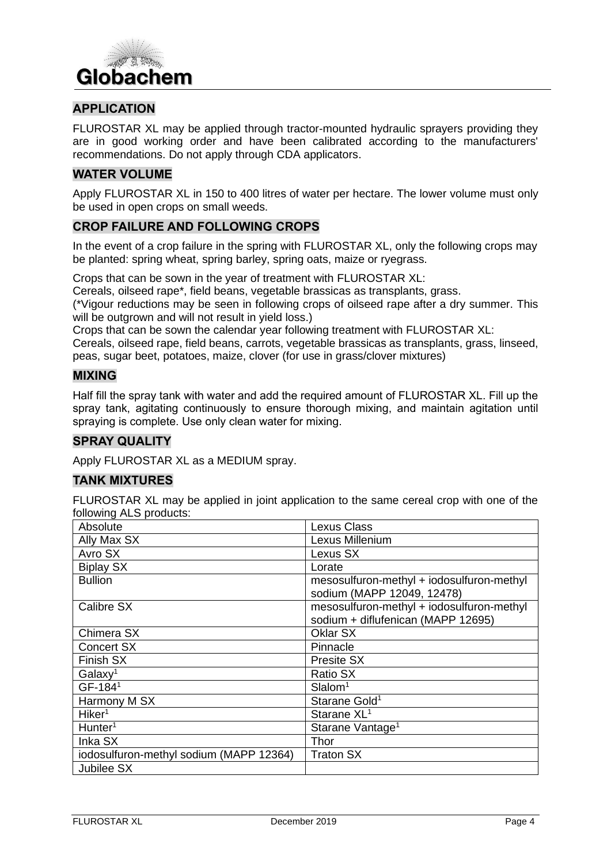

## **APPLICATION**

FLUROSTAR XL may be applied through tractor-mounted hydraulic sprayers providing they are in good working order and have been calibrated according to the manufacturers' recommendations. Do not apply through CDA applicators.

#### **WATER VOLUME**

Apply FLUROSTAR XL in 150 to 400 litres of water per hectare. The lower volume must only be used in open crops on small weeds.

#### **CROP FAILURE AND FOLLOWING CROPS**

In the event of a crop failure in the spring with FLUROSTAR XL, only the following crops may be planted: spring wheat, spring barley, spring oats, maize or ryegrass.

Crops that can be sown in the year of treatment with FLUROSTAR XL:

Cereals, oilseed rape\*, field beans, vegetable brassicas as transplants, grass.

(\*Vigour reductions may be seen in following crops of oilseed rape after a dry summer. This will be outgrown and will not result in yield loss.)

Crops that can be sown the calendar year following treatment with FLUROSTAR XL:

Cereals, oilseed rape, field beans, carrots, vegetable brassicas as transplants, grass, linseed, peas, sugar beet, potatoes, maize, clover (for use in grass/clover mixtures)

#### **MIXING**

Half fill the spray tank with water and add the required amount of FLUROSTAR XL. Fill up the spray tank, agitating continuously to ensure thorough mixing, and maintain agitation until spraying is complete. Use only clean water for mixing.

#### **SPRAY QUALITY**

Apply FLUROSTAR XL as a MEDIUM spray.

#### **TANK MIXTURES**

FLUROSTAR XL may be applied in joint application to the same cereal crop with one of the following ALS products:

| Absolute                                | <b>Lexus Class</b>                                                              |
|-----------------------------------------|---------------------------------------------------------------------------------|
| Ally Max SX                             | Lexus Millenium                                                                 |
| Avro SX                                 | Lexus SX                                                                        |
| <b>Biplay SX</b>                        | Lorate                                                                          |
| <b>Bullion</b>                          | mesosulfuron-methyl + iodosulfuron-methyl<br>sodium (MAPP 12049, 12478)         |
| Calibre SX                              | mesosulfuron-methyl + iodosulfuron-methyl<br>sodium + diflufenican (MAPP 12695) |
| Chimera SX                              | Oklar SX                                                                        |
| <b>Concert SX</b>                       | Pinnacle                                                                        |
| Finish SX                               | Presite SX                                                                      |
| Galaxy <sup>1</sup>                     | Ratio SX                                                                        |
| GF-1841                                 | Slalom <sup>1</sup>                                                             |
| Harmony M SX                            | Starane Gold <sup>1</sup>                                                       |
| Hiker <sup>1</sup>                      | Starane XL <sup>1</sup>                                                         |
| Hunter <sup>1</sup>                     | Starane Vantage <sup>1</sup>                                                    |
| Inka SX                                 | Thor                                                                            |
| iodosulfuron-methyl sodium (MAPP 12364) | <b>Traton SX</b>                                                                |
| Jubilee SX                              |                                                                                 |